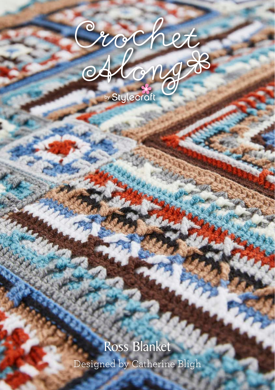

## Designed by Catherine Bligh Ross Blanket